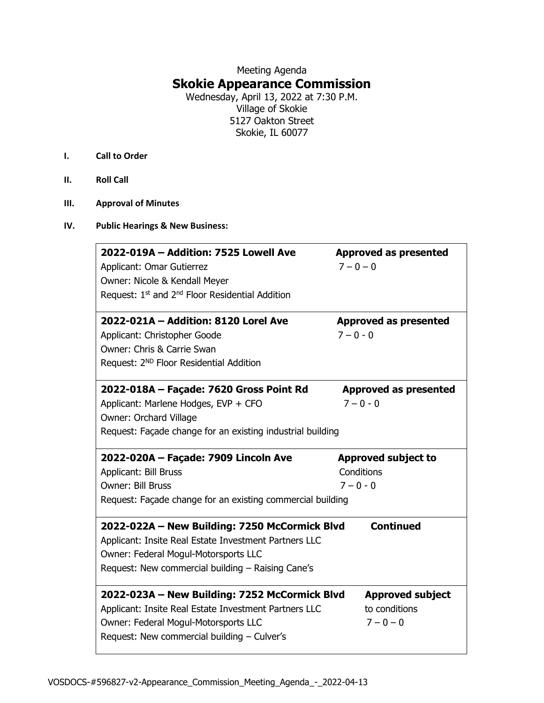## Meeting Agenda **Skokie Appearance Commission**

Wednesday, April 13, 2022 at 7:30 P.M. Village of Skokie 5127 Oakton Street Skokie, IL 60077

- **I. Call to Order**
- **II. Roll Call**
- **III. Approval of Minutes**

## **IV. Public Hearings & New Business:**

| 2022-019A - Addition: 7525 Lowell Ave<br>Applicant: Omar Gutierrez<br>Owner: Nicole & Kendall Meyer<br>Request: 1 <sup>st</sup> and 2 <sup>nd</sup> Floor Residential Addition                      | <b>Approved as presented</b><br>$7 - 0 - 0$ |
|-----------------------------------------------------------------------------------------------------------------------------------------------------------------------------------------------------|---------------------------------------------|
| 2022-021A - Addition: 8120 Lorel Ave                                                                                                                                                                | <b>Approved as presented</b>                |
| Applicant: Christopher Goode                                                                                                                                                                        | $7 - 0 - 0$                                 |
| Owner: Chris & Carrie Swan                                                                                                                                                                          |                                             |
| Request: 2 <sup>ND</sup> Floor Residential Addition                                                                                                                                                 |                                             |
| 2022-018A - Façade: 7620 Gross Point Rd                                                                                                                                                             | <b>Approved as presented</b>                |
| Applicant: Marlene Hodges, EVP + CFO                                                                                                                                                                | $7 - 0 - 0$                                 |
| Owner: Orchard Village                                                                                                                                                                              |                                             |
| Request: Façade change for an existing industrial building                                                                                                                                          |                                             |
| 2022-020A - Façade: 7909 Lincoln Ave                                                                                                                                                                | <b>Approved subject to</b>                  |
| Applicant: Bill Bruss                                                                                                                                                                               | Conditions                                  |
| <b>Owner: Bill Bruss</b>                                                                                                                                                                            | $7 - 0 - 0$                                 |
| Request: Façade change for an existing commercial building                                                                                                                                          |                                             |
| 2022-022A - New Building: 7250 McCormick Blvd<br>Applicant: Insite Real Estate Investment Partners LLC<br>Owner: Federal Mogul-Motorsports LLC<br>Request: New commercial building - Raising Cane's | <b>Continued</b>                            |
| 2022-023A - New Building: 7252 McCormick Blvd                                                                                                                                                       | <b>Approved subject</b>                     |
| Applicant: Insite Real Estate Investment Partners LLC                                                                                                                                               | to conditions                               |
| Owner: Federal Mogul-Motorsports LLC                                                                                                                                                                | $7 - 0 - 0$                                 |
| Request: New commercial building - Culver's                                                                                                                                                         |                                             |